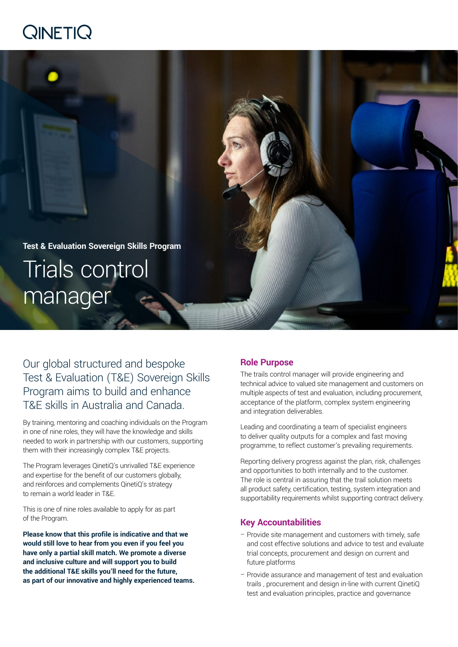# QINETIQ



Our global structured and bespoke Test & Evaluation (T&E) Sovereign Skills Program aims to build and enhance T&E skills in Australia and Canada.

By training, mentoring and coaching individuals on the Program in one of nine roles, they will have the knowledge and skills needed to work in partnership with our customers, supporting them with their increasingly complex T&E projects.

The Program leverages QinetiQ's unrivalled T&E experience and expertise for the benefit of our customers globally, and reinforces and complements QinetiQ's strategy to remain a world leader in T&E.

This is one of nine roles available to apply for as part of the Program.

**Please know that this profile is indicative and that we would still love to hear from you even if you feel you have only a partial skill match. We promote a diverse and inclusive culture and will support you to build the additional T&E skills you'll need for the future, as part of our innovative and highly experienced teams.**

### **Role Purpose**

The trails control manager will provide engineering and technical advice to valued site management and customers on multiple aspects of test and evaluation, including procurement, acceptance of the platform, complex system engineering and integration deliverables.

Leading and coordinating a team of specialist engineers to deliver quality outputs for a complex and fast moving programme, to reflect customer's prevailing requirements.

Reporting delivery progress against the plan, risk, challenges and opportunities to both internally and to the customer. The role is central in assuring that the trail solution meets all product safety, certification, testing, system integration and supportability requirements whilst supporting contract delivery.

#### **Key Accountabilities**

- Provide site management and customers with timely, safe and cost effective solutions and advice to test and evaluate trial concepts, procurement and design on current and future platforms
- Provide assurance and management of test and evaluation trails , procurement and design in-line with current QinetiQ test and evaluation principles, practice and governance